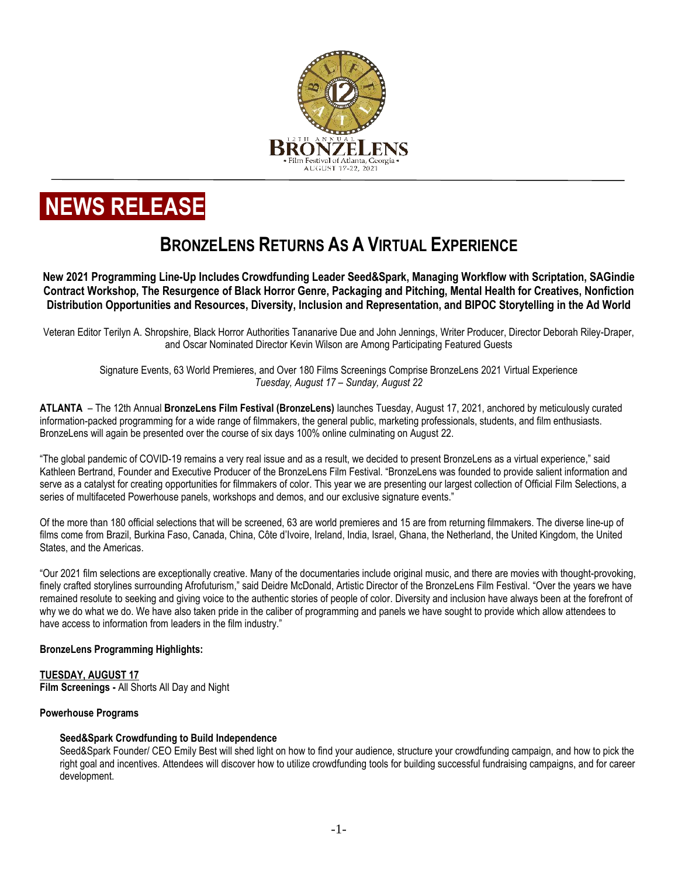

# **NEWS RELEASE**

# **BRONZELENS RETURNS AS A VIRTUAL EXPERIENCE**

**New 2021 Programming Line-Up Includes Crowdfunding Leader Seed&Spark, Managing Workflow with Scriptation, SAGindie Contract Workshop, The Resurgence of Black Horror Genre, Packaging and Pitching, Mental Health for Creatives, Nonfiction Distribution Opportunities and Resources, Diversity, Inclusion and Representation, and BIPOC Storytelling in the Ad World**

Veteran Editor Terilyn A. Shropshire, Black Horror Authorities Tananarive Due and John Jennings, Writer Producer, Director Deborah Riley-Draper, and Oscar Nominated Director Kevin Wilson are Among Participating Featured Guests

Signature Events, 63 World Premieres, and Over 180 Films Screenings Comprise BronzeLens 2021 Virtual Experience *Tuesday, August 17 – Sunday, August 22*

**ATLANTA** – The 12th Annual **BronzeLens Film Festival (BronzeLens)** launches Tuesday, August 17, 2021, anchored by meticulously curated information-packed programming for a wide range of filmmakers, the general public, marketing professionals, students, and film enthusiasts. BronzeLens will again be presented over the course of six days 100% online culminating on August 22.

"The global pandemic of COVID-19 remains a very real issue and as a result, we decided to present BronzeLens as a virtual experience," said Kathleen Bertrand, Founder and Executive Producer of the BronzeLens Film Festival. "BronzeLens was founded to provide salient information and serve as a catalyst for creating opportunities for filmmakers of color. This year we are presenting our largest collection of Official Film Selections, a series of multifaceted Powerhouse panels, workshops and demos, and our exclusive signature events."

Of the more than 180 official selections that will be screened, 63 are world premieres and 15 are from returning filmmakers. The diverse line-up of films come from Brazil, Burkina Faso, Canada, China, Côte d'Ivoire, Ireland, India, Israel, Ghana, the Netherland, the United Kingdom, the United States, and the Americas.

"Our 2021 film selections are exceptionally creative. Many of the documentaries include original music, and there are movies with thought-provoking, finely crafted storylines surrounding Afrofuturism," said Deidre McDonald, Artistic Director of the BronzeLens Film Festival. "Over the years we have remained resolute to seeking and giving voice to the authentic stories of people of color. Diversity and inclusion have always been at the forefront of why we do what we do. We have also taken pride in the caliber of programming and panels we have sought to provide which allow attendees to have access to information from leaders in the film industry."

# **BronzeLens Programming Highlights:**

# **TUESDAY, AUGUST 17**

**Film Screenings -** All Shorts All Day and Night

# **Powerhouse Programs**

# **Seed&Spark Crowdfunding to Build Independence**

Seed&Spark Founder/ CEO Emily Best will shed light on how to find your audience, structure your crowdfunding campaign, and how to pick the right goal and incentives. Attendees will discover how to utilize crowdfunding tools for building successful fundraising campaigns, and for career development.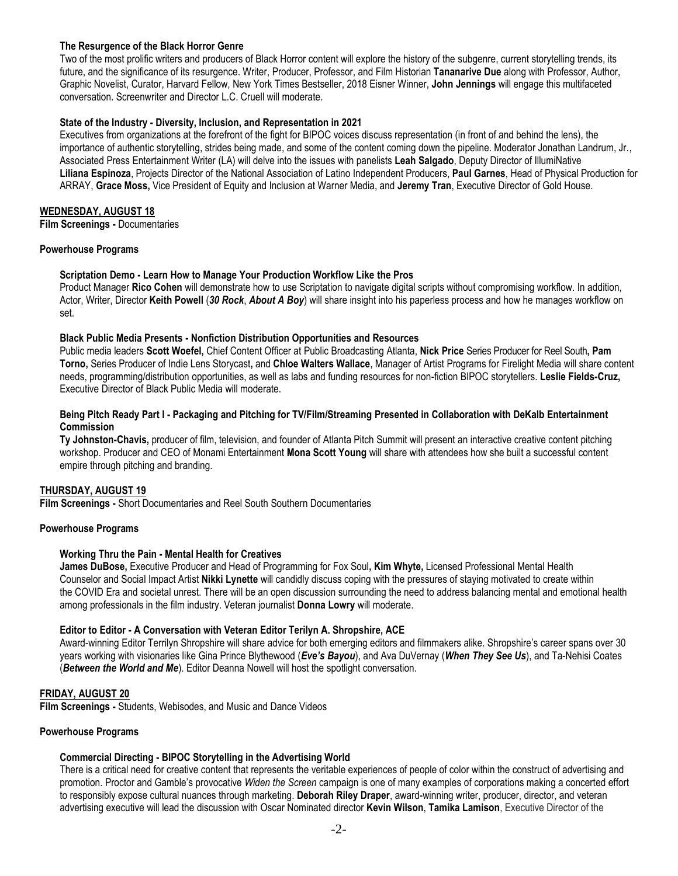# **The Resurgence of the Black Horror Genre**

Two of the most prolific writers and producers of Black Horror content will explore the history of the subgenre, current storytelling trends, its future, and the significance of its resurgence. Writer, Producer, Professor, and Film Historian **Tananarive Due** along with Professor, Author, Graphic Novelist, Curator, Harvard Fellow, [New York Times Bestseller,](https://www.nytimes.com/books/best-sellers/hardcover-graphic-books/) [2018 Eisner Winner,](https://www.hollywoodreporter.com/heat-vision/2018-eisner-awards-complete-winners-list-1128983) **John Jennings** will engage this multifaceted conversation. Screenwriter and Director L.C. Cruell will moderate.

# **State of the Industry - Diversity, Inclusion, and Representation in 2021**

Executives from organizations at the forefront of the fight for BIPOC voices discuss representation (in front of and behind the lens), the importance of authentic storytelling, strides being made, and some of the content coming down the pipeline. Moderator Jonathan Landrum, Jr., Associated Press Entertainment Writer (LA) will delve into the issues with panelists **Leah Salgado**, Deputy Director of IllumiNative **Liliana Espinoza**, Projects Director of the National Association of Latino Independent Producers, **Paul Garnes**, Head of Physical Production for ARRAY, **Grace Moss,** Vice President of Equity and Inclusion at Warner Media, and **Jeremy Tran**, Executive Director of Gold House.

# **WEDNESDAY, AUGUST 18**

**Film Screenings -** Documentaries

# **Powerhouse Programs**

# **Scriptation Demo - Learn How to Manage Your Production Workflow Like the Pros**

Product Manager **Rico Cohen** will demonstrate how to use Scriptation to navigate digital scripts without compromising workflow. In addition, Actor, Writer, Director **Keith Powell** (*30 Rock*, *About A Boy*) will share insight into his paperless process and how he manages workflow on set.

# **Black Public Media Presents - Nonfiction Distribution Opportunities and Resources**

Public media leaders **Scott Woefel,** Chief Content Officer at Public Broadcasting Atlanta, **Nick Price** Series Producer for Reel South**, Pam Torno,** Series Producer of Indie Lens [Storycast](https://www.youtube.com/channel/UCdzQ_ilHPH3rQtgzo4nKM_g)**,** and **Chloe Walters Wallace**, Manager of Artist Programs for Firelight Media will share content needs, programming/distribution opportunities, as well as labs and funding resources for non-fiction BIPOC storytellers. **Leslie Fields-Cruz,**  Executive Director of Black Public Media will moderate.

#### **Being Pitch Ready Part I - Packaging and Pitching for TV/Film/Streaming Presented in Collaboration with DeKalb Entertainment Commission**

**Ty Johnston-Chavis,** producer of film, television, and founder of Atlanta Pitch Summit will present an interactive creative content pitching workshop. Producer and CEO of Monami Entertainment **Mona Scott Young** will share with attendees how she built a successful content empire through pitching and branding.

# **THURSDAY, AUGUST 19**

**Film Screenings -** Short Documentaries and Reel South Southern Documentaries

# **Powerhouse Programs**

# **Working Thru the Pain - Mental Health for Creatives**

**James DuBose,** Executive Producer and Head of Programming for Fox Soul**, Kim Whyte,** Licensed Professional Mental Health Counselor and Social Impact Artist **Nikki Lynette** will candidly discuss coping with the pressures of staying motivated to create within the COVID Era and societal unrest. There will be an open discussion surrounding the need to address balancing mental and emotional health among professionals in the film industry. Veteran journalist **Donna Lowry** will moderate.

# **Editor to Editor - A Conversation with Veteran Editor Terilyn A. Shropshire, ACE**

Award-winning Editor Terrilyn Shropshire will share advice for both emerging editors and filmmakers alike. Shropshire's career spans over 30 years working with visionaries like Gina Prince Blythewood (*Eve's Bayou*), and Ava DuVernay (*When They See Us*), and Ta-Nehisi Coates (*Between the World and Me*). Editor Deanna Nowell will host the spotlight conversation.

# **FRIDAY, AUGUST 20**

**Film Screenings -** Students, Webisodes, and Music and Dance Videos

#### **Powerhouse Programs**

# **Commercial Directing - BIPOC Storytelling in the Advertising World**

There is a critical need for creative content that represents the veritable experiences of people of color within the construct of advertising and promotion. Proctor and Gamble's provocative *Widen the Screen* campaign is one of many examples of corporations making a concerted effort to responsibly expose cultural nuances through marketing. **Deborah Riley Draper**, award-winning writer, producer, director, and veteran advertising executive will lead the discussion with Oscar Nominated director **Kevin Wilson**, **Tamika Lamison**, Executive Director of the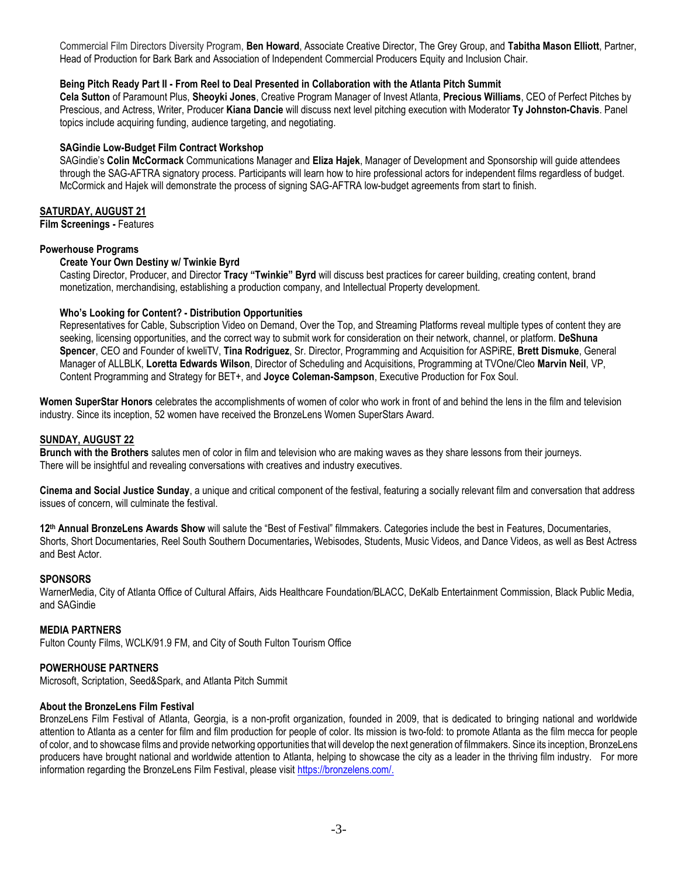Commercial Film Directors Diversity Program, **Ben Howard**, Associate Creative Director, The Grey Group, and **Tabitha Mason Elliott**, Partner, Head of Production for Bark Bark and Association of Independent Commercial Producers Equity and Inclusion Chair.

# **Being Pitch Ready Part II - From Reel to Deal Presented in Collaboration with the Atlanta Pitch Summit**

**Cela Sutton** of Paramount Plus, **Sheoyki Jones**, Creative Program Manager of Invest Atlanta, **Precious Williams**, CEO of Perfect Pitches by Prescious, and Actress, Writer, Producer **Kiana Dancie** will discuss next level pitching execution with Moderator **Ty Johnston-Chavis**. Panel topics include acquiring funding, audience targeting, and negotiating.

# **SAGindie Low-Budget Film Contract Workshop**

SAGindie's **Colin McCormack** Communications Manager and **Eliza Hajek**, Manager of Development and Sponsorship will guide attendees through the SAG-AFTRA signatory process. Participants will learn how to hire professional actors for independent films regardless of budget. McCormick and Hajek will demonstrate the process of signing SAG-AFTRA low-budget agreements from start to finish.

# **SATURDAY, AUGUST 21**

**Film Screenings -** Features

# **Powerhouse Programs**

# **Create Your Own Destiny w/ Twinkie Byrd**

Casting Director, Producer, and Director **Tracy "Twinkie" Byrd** will discuss best practices for career building, creating content, brand monetization, merchandising, establishing a production company, and Intellectual Property development.

# **Who's Looking for Content? - Distribution Opportunities**

Representatives for Cable, Subscription Video on Demand, Over the Top, and Streaming Platforms reveal multiple types of content they are seeking, licensing opportunities, and the correct way to submit work for consideration on their network, channel, or platform. **DeShuna Spencer**, CEO and Founder of kweliTV, **Tina Rodriguez**, Sr. Director, Programming and Acquisition for ASPiRE, **Brett Dismuke**, General Manager of ALLBLK, **Loretta Edwards Wilson**, Director of Scheduling and Acquisitions, Programming at TVOne/Cleo **Marvin Neil**, VP, Content Programming and Strategy for BET+, and **Joyce Coleman-Sampson**, Executive Production for Fox Soul.

**Women SuperStar Honors** celebrates the accomplishments of women of color who work in front of and behind the lens in the film and television industry. Since its inception, 52 women have received the BronzeLens Women SuperStars Award.

# **SUNDAY, AUGUST 22**

**Brunch with the Brothers** salutes men of color in film and television who are making waves as they share lessons from their journeys. There will be insightful and revealing conversations with creatives and industry executives.

**Cinema and Social Justice Sunday**, a unique and critical component of the festival, featuring a socially relevant film and conversation that address issues of concern, will culminate the festival.

**12th Annual BronzeLens Awards Show** will salute the "Best of Festival" filmmakers. Categories include the best in Features, Documentaries, Shorts, Short Documentaries, Reel South Southern Documentaries**,** Webisodes, Students, Music Videos, and Dance Videos, as well as Best Actress and Best Actor.

# **SPONSORS**

WarnerMedia, City of Atlanta Office of Cultural Affairs, Aids Healthcare Foundation/BLACC, DeKalb Entertainment Commission, Black Public Media, and SAGindie

# **MEDIA PARTNERS**

Fulton County Films, WCLK/91.9 FM, and City of South Fulton Tourism Office

# **POWERHOUSE PARTNERS**

Microsoft, Scriptation, Seed&Spark, and Atlanta Pitch Summit

# **About the BronzeLens Film Festival**

BronzeLens Film Festival of Atlanta, Georgia, is a non-profit organization, founded in 2009, that is dedicated to bringing national and worldwide attention to Atlanta as a center for film and film production for people of color. Its mission is two-fold: to promote Atlanta as the film mecca for people of color, and to showcase films and provide networking opportunities that will develop the next generation of filmmakers. Since its inception, BronzeLens producers have brought national and worldwide attention to Atlanta, helping to showcase the city as a leader in the thriving film industry. For more information regarding the BronzeLens Film Festival, please visit [https://bronzelens.com/.](https://bronzelens.com/)